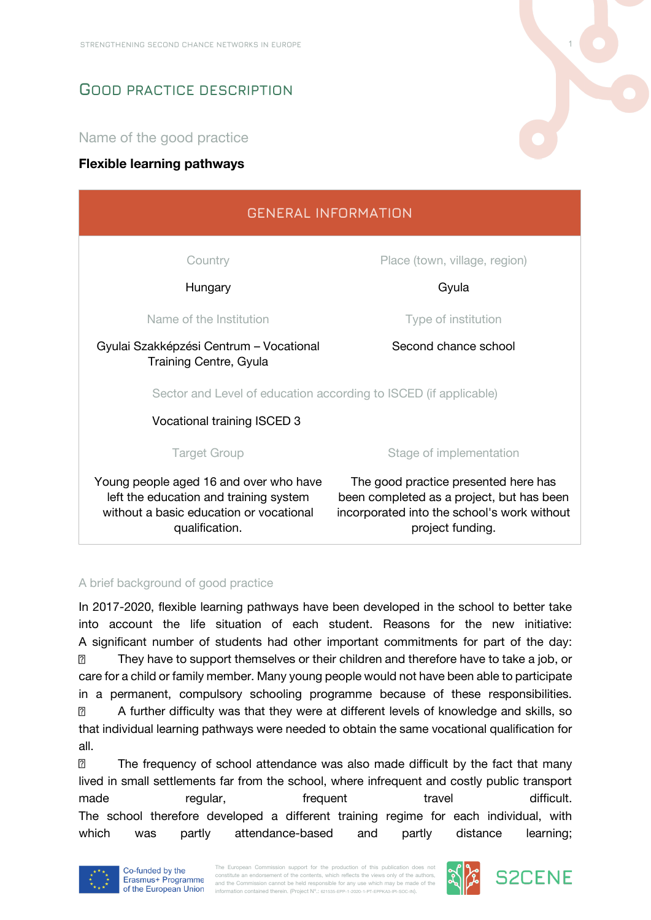# **GOOD PRACTICE DESCRIPTION**

Name of the good practice

## **Flexible learning pathways**



# qualification.

## project funding.

### A brief background of good practice

In 2017-2020, flexible learning pathways have been developed in the school to better take into account the life situation of each student. Reasons for the new initiative: A significant number of students had other important commitments for part of the day:  $\sqrt{2}$ They have to support themselves or their children and therefore have to take a job, or care for a child or family member. Many young people would not have been able to participate in a permanent, compulsory schooling programme because of these responsibilities.  $\overline{2}$ A further difficulty was that they were at different levels of knowledge and skills, so that individual learning pathways were needed to obtain the same vocational qualification for all.

 $\overline{2}$ The frequency of school attendance was also made difficult by the fact that many lived in small settlements far from the school, where infrequent and costly public transport made regular, frequent travel travel difficult. The school therefore developed a different training regime for each individual, with which was partly attendance-based and partly distance learning;



The European Commission support for the production of this publication does not constitute an endorsement of the contents, which reflects the views only of the authors and the Commission cannot be held responsible for any use which may be made of the information contained therein. (Project Nº.: 621535-EPP-1-2020-1-PT-EPPKA3-IPI-SOC-IN).



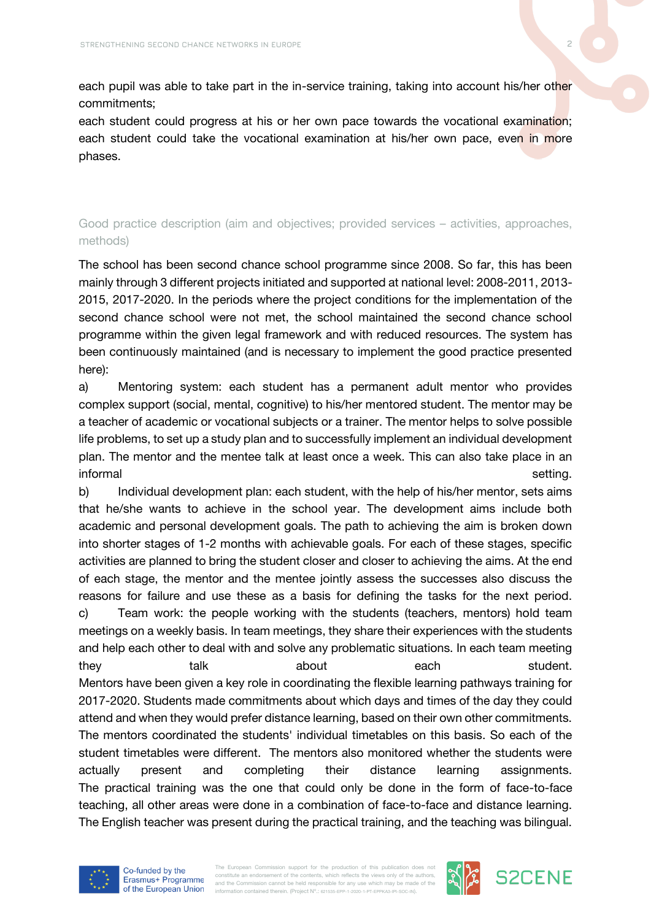each pupil was able to take part in the in-service training, taking into account his/her other commitments;

each student could progress at his or her own pace towards the vocational examination; each student could take the vocational examination at his/her own pace, even in more phases.

# Good practice description (aim and objectives; provided services – activities, approaches, methods)

The school has been second chance school programme since 2008. So far, this has been mainly through 3 different projects initiated and supported at national level: 2008-2011, 2013- 2015, 2017-2020. In the periods where the project conditions for the implementation of the second chance school were not met, the school maintained the second chance school programme within the given legal framework and with reduced resources. The system has been continuously maintained (and is necessary to implement the good practice presented here):

a) Mentoring system: each student has a permanent adult mentor who provides complex support (social, mental, cognitive) to his/her mentored student. The mentor may be a teacher of academic or vocational subjects or a trainer. The mentor helps to solve possible life problems, to set up a study plan and to successfully implement an individual development plan. The mentor and the mentee talk at least once a week. This can also take place in an informal setting.

b) Individual development plan: each student, with the help of his/her mentor, sets aims that he/she wants to achieve in the school year. The development aims include both academic and personal development goals. The path to achieving the aim is broken down into shorter stages of 1-2 months with achievable goals. For each of these stages, specific activities are planned to bring the student closer and closer to achieving the aims. At the end of each stage, the mentor and the mentee jointly assess the successes also discuss the reasons for failure and use these as a basis for defining the tasks for the next period. c) Team work: the people working with the students (teachers, mentors) hold team meetings on a weekly basis. In team meetings, they share their experiences with the students and help each other to deal with and solve any problematic situations. In each team meeting they talk about each student. Mentors have been given a key role in coordinating the flexible learning pathways training for 2017-2020. Students made commitments about which days and times of the day they could attend and when they would prefer distance learning, based on their own other commitments. The mentors coordinated the students' individual timetables on this basis. So each of the student timetables were different. The mentors also monitored whether the students were actually present and completing their distance learning assignments. The practical training was the one that could only be done in the form of face-to-face teaching, all other areas were done in a combination of face-to-face and distance learning. The English teacher was present during the practical training, and the teaching was bilingual.



The European Commission support for the production of this publication does no constitute an endorsement of the contents, which reflects the views only of the authors and the Commission cannot be held responsible for any use which may be made of the information contained therein. (Project Nº.: 621535-EPP-1-2020-1-PT-EPPKA3-IPI-SOC-IN).



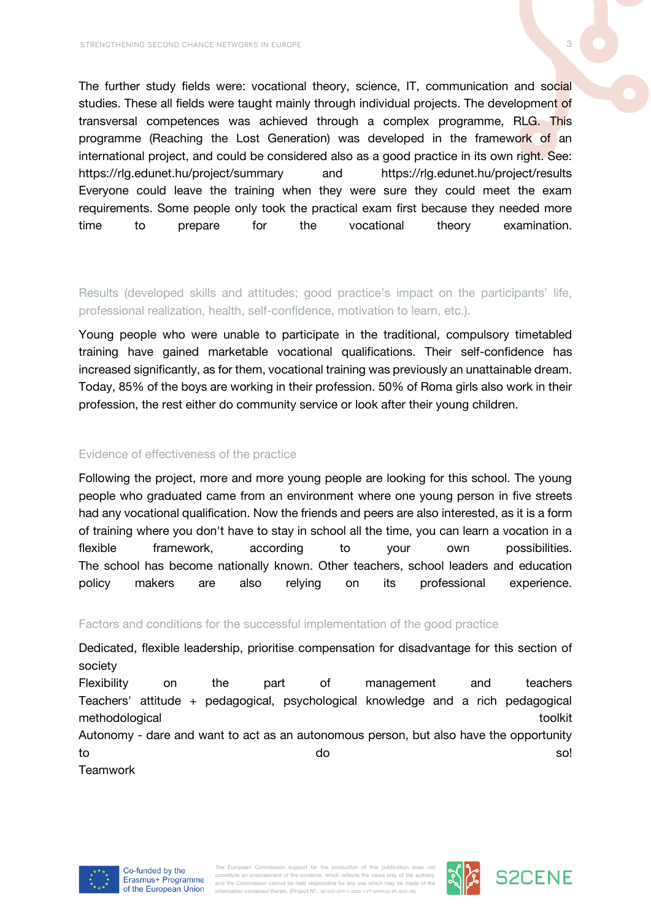The further study fields were: vocational theory, science, IT, communication and social studies. These all fields were taught mainly through individual projects. The development of transversal competences was achieved through a complex programme, RLG. This programme (Reaching the Lost Generation) was developed in the framework of an international project, and could be considered also as a good practice in its own right. See: https://rlg.edunet.hu/project/summary and https://rlg.edunet.hu/project/results Everyone could leave the training when they were sure they could meet the exam requirements. Some people only took the practical exam first because they needed more time to prepare for the vocational theory examination.

Results (developed skills and attitudes; good practice's impact on the participants' life, professional realization, health, self-confidence, motivation to learn, etc.).

Young people who were unable to participate in the traditional, compulsory timetabled training have gained marketable vocational qualifications. Their self-confidence has increased significantly, as for them, vocational training was previously an unattainable dream. Today, 85% of the boys are working in their profession. 50% of Roma girls also work in their profession, the rest either do community service or look after their young children.

### Evidence of effectiveness of the practice

Following the project, more and more young people are looking for this school. The young people who graduated came from an environment where one young person in five streets had any vocational qualification. Now the friends and peers are also interested, as it is a form of training where you don't have to stay in school all the time, you can learn a vocation in a flexible framework, according to your own possibilities. The school has become nationally known. Other teachers, school leaders and education policy makers are also relying on its professional experience.

### Factors and conditions for the successful implementation of the good practice

Dedicated, flexible leadership, prioritise compensation for disadvantage for this section of society Flexibility on the part of management and teachers Teachers' attitude + pedagogical, psychological knowledge and a rich pedagogical methodological toolkit toolkit toolkit toolkit toolkit toolkit toolkit toolkit toolkit toolkit toolkit toolkit Autonomy - dare and want to act as an autonomous person, but also have the opportunity to so! when the source of the source of the source of the source of the source of the source of the source of **Teamwork** 





**S2CENE**